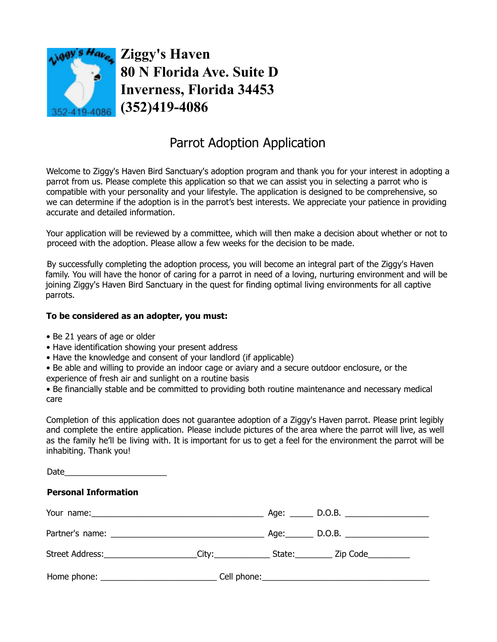

**Ziggy's Haven 80 N Florida Ave. Suite D Inverness, Florida 34453 (352)419-4086**

## Parrot Adoption Application

Welcome to Ziggy's Haven Bird Sanctuary's adoption program and thank you for your interest in adopting a parrot from us. Please complete this application so that we can assist you in selecting a parrot who is compatible with your personality and your lifestyle. The application is designed to be comprehensive, so we can determine if the adoption is in the parrot's best interests. We appreciate your patience in providing accurate and detailed information.

Your application will be reviewed by a committee, which will then make a decision about whether or not to proceed with the adoption. Please allow a few weeks for the decision to be made.

By successfully completing the adoption process, you will become an integral part of the Ziggy's Haven family. You will have the honor of caring for a parrot in need of a loving, nurturing environment and will be joining Ziggy's Haven Bird Sanctuary in the quest for finding optimal living environments for all captive parrots.

## **To be considered as an adopter, you must:**

- Be 21 years of age or older
- Have identification showing your present address
- Have the knowledge and consent of your landlord (if applicable)
- Be able and willing to provide an indoor cage or aviary and a secure outdoor enclosure, or the experience of fresh air and sunlight on a routine basis

• Be financially stable and be committed to providing both routine maintenance and necessary medical care

Completion of this application does not guarantee adoption of a Ziggy's Haven parrot. Please print legibly and complete the entire application. Please include pictures of the area where the parrot will live, as well as the family he'll be living with. It is important for us to get a feel for the environment the parrot will be inhabiting. Thank you!

| <b>Personal Information</b>                                                                   |  |  |
|-----------------------------------------------------------------------------------------------|--|--|
|                                                                                               |  |  |
|                                                                                               |  |  |
| Street Address:______________________City:_______________State:___________Zip Code___________ |  |  |
|                                                                                               |  |  |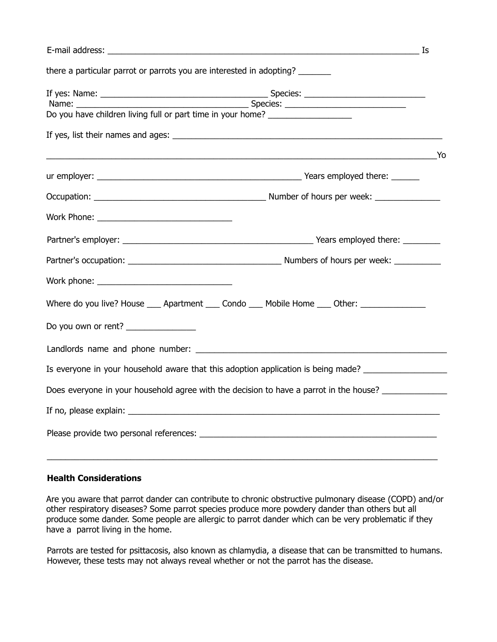|                                                                                  |                                                                                                     | Is |  |  |
|----------------------------------------------------------------------------------|-----------------------------------------------------------------------------------------------------|----|--|--|
| there a particular parrot or parrots you are interested in adopting?             |                                                                                                     |    |  |  |
|                                                                                  |                                                                                                     |    |  |  |
| Do you have children living full or part time in your home? ____________________ |                                                                                                     |    |  |  |
|                                                                                  |                                                                                                     |    |  |  |
|                                                                                  |                                                                                                     |    |  |  |
|                                                                                  |                                                                                                     |    |  |  |
|                                                                                  |                                                                                                     |    |  |  |
|                                                                                  |                                                                                                     |    |  |  |
|                                                                                  |                                                                                                     |    |  |  |
|                                                                                  |                                                                                                     |    |  |  |
|                                                                                  |                                                                                                     |    |  |  |
|                                                                                  |                                                                                                     |    |  |  |
|                                                                                  | Where do you live? House ____ Apartment ____ Condo ____ Mobile Home ____ Other: ______________      |    |  |  |
| Do you own or rent? _______________                                              |                                                                                                     |    |  |  |
|                                                                                  |                                                                                                     |    |  |  |
|                                                                                  | Is everyone in your household aware that this adoption application is being made? _________________ |    |  |  |
|                                                                                  | Does everyone in your household agree with the decision to have a parrot in the house?              |    |  |  |
|                                                                                  |                                                                                                     |    |  |  |
|                                                                                  |                                                                                                     |    |  |  |
|                                                                                  |                                                                                                     |    |  |  |

## **Health Considerations**

Are you aware that parrot dander can contribute to chronic obstructive pulmonary disease (COPD) and/or other respiratory diseases? Some parrot species produce more powdery dander than others but all produce some dander. Some people are allergic to parrot dander which can be very problematic if they have a parrot living in the home.

Parrots are tested for psittacosis, also known as chlamydia, a disease that can be transmitted to humans. However, these tests may not always reveal whether or not the parrot has the disease.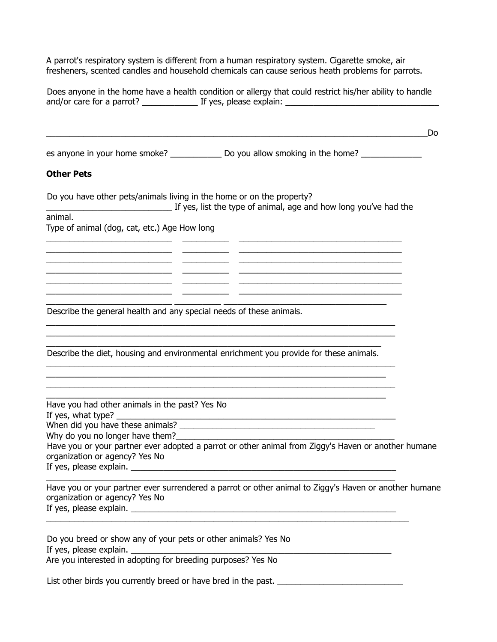A parrot's respiratory system is different from a human respiratory system. Cigarette smoke, air fresheners, scented candles and household chemicals can cause serious heath problems for parrots.

| Does anyone in the home have a health condition or allergy that could restrict his/her ability to handle                                                                                                                                                                                                                                                                                                                                                                                                                                                                                                     |  |  |  |  |
|--------------------------------------------------------------------------------------------------------------------------------------------------------------------------------------------------------------------------------------------------------------------------------------------------------------------------------------------------------------------------------------------------------------------------------------------------------------------------------------------------------------------------------------------------------------------------------------------------------------|--|--|--|--|
| Do                                                                                                                                                                                                                                                                                                                                                                                                                                                                                                                                                                                                           |  |  |  |  |
|                                                                                                                                                                                                                                                                                                                                                                                                                                                                                                                                                                                                              |  |  |  |  |
| <b>Other Pets</b>                                                                                                                                                                                                                                                                                                                                                                                                                                                                                                                                                                                            |  |  |  |  |
| Do you have other pets/animals living in the home or on the property?<br>If yes, list the type of animal, age and how long you've had the                                                                                                                                                                                                                                                                                                                                                                                                                                                                    |  |  |  |  |
| animal.<br>Type of animal (dog, cat, etc.) Age How long                                                                                                                                                                                                                                                                                                                                                                                                                                                                                                                                                      |  |  |  |  |
| <u> 1986 - Andrea Andrew Maria (h. 1986).</u><br>2001 - Andrew Maria (h. 1906).<br>the contract of the contract of the contract of the contract of the contract of<br><u> 1986 - Andrea Barbara, amerikan persoa (h. 1986).</u>                                                                                                                                                                                                                                                                                                                                                                              |  |  |  |  |
| <u> 2000 - Jan James James Jan James James James James James James James James James James James James James Jam</u><br><u> 1989 - Johann John Stone, meil in der Stone aus der Stone aus der Stone aus der Stone aus der Stone aus der S</u><br><u> 1988 - Johann Stein, skriuwer yn Stein Stein (m. 1988)</u><br>Describe the general health and any special needs of these animals.                                                                                                                                                                                                                       |  |  |  |  |
|                                                                                                                                                                                                                                                                                                                                                                                                                                                                                                                                                                                                              |  |  |  |  |
| Describe the diet, housing and environmental enrichment you provide for these animals.                                                                                                                                                                                                                                                                                                                                                                                                                                                                                                                       |  |  |  |  |
| <u> 1989 - Johann Harry Harry Harry Harry Harry Harry Harry Harry Harry Harry Harry Harry Harry Harry Harry Harry</u><br>Have you had other animals in the past? Yes No<br>If yes, what type?<br>When did you have these animals?<br>Why do you no longer have them? Note that the state of the state of the state of the state of the state of the state of the state of the state of the state of the state of the state of the state of the state of the state o<br>Have you or your partner ever adopted a parrot or other animal from Ziggy's Haven or another humane<br>organization or agency? Yes No |  |  |  |  |
| Have you or your partner ever surrendered a parrot or other animal to Ziggy's Haven or another humane<br>organization or agency? Yes No                                                                                                                                                                                                                                                                                                                                                                                                                                                                      |  |  |  |  |
| Do you breed or show any of your pets or other animals? Yes No<br>If yes, please explain.<br>Are you interested in adopting for breeding purposes? Yes No                                                                                                                                                                                                                                                                                                                                                                                                                                                    |  |  |  |  |
| List other birds you currently breed or have bred in the past. _______                                                                                                                                                                                                                                                                                                                                                                                                                                                                                                                                       |  |  |  |  |